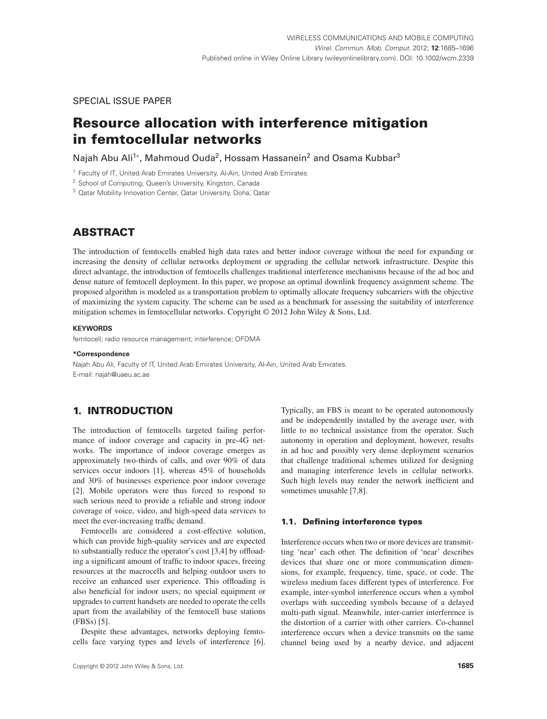SPECIAL ISSUE PAPER

# **Resource allocation with interference mitigation in femtocellular networks**

Najah Abu Ali<sup>1\*</sup>, Mahmoud Ouda<sup>2</sup>, Hossam Hassanein<sup>2</sup> and Osama Kubbar<sup>3</sup>

<sup>1</sup> Faculty of IT, United Arab Emirates University, Al-Ain, United Arab Emirates

<sup>2</sup> School of Computing, Queen's University, Kingston, Canada

<sup>3</sup> Qatar Mobility Innovation Center, Qatar University, Doha, Qatar

# **ABSTRACT**

The introduction of femtocells enabled high data rates and better indoor coverage without the need for expanding or increasing the density of cellular networks deployment or upgrading the cellular network infrastructure. Despite this direct advantage, the introduction of femtocells challenges traditional interference mechanisms because of the ad hoc and dense nature of femtocell deployment. In this paper, we propose an optimal downlink frequency assignment scheme. The proposed algorithm is modeled as a transportation problem to optimally allocate frequency subcarriers with the objective of maximizing the system capacity. The scheme can be used as a benchmark for assessing the suitability of interference mitigation schemes in femtocellular networks. Copyright © 2012 John Wiley & Sons, Ltd.

### **KEYWORDS**

femtocell; radio resource management; interference; OFDMA

### **\*Correspondence**

Najah Abu Ali, Faculty of IT, United Arab Emirates University, Al-Ain, United Arab Emirates. E-mail: najah@uaeu.ac.ae

# **1. INTRODUCTION**

The introduction of femtocells targeted failing performance of indoor coverage and capacity in pre-4G networks. The importance of indoor coverage emerges as approximately two-thirds of calls, and over 90% of data services occur indoors [1], whereas 45% of households and 30% of businesses experience poor indoor coverage [2]. Mobile operators were thus forced to respond to such serious need to provide a reliable and strong indoor coverage of voice, video, and high-speed data services to meet the ever-increasing traffic demand.

Femtocells are considered a cost-effective solution, which can provide high-quality services and are expected to substantially reduce the operator's cost [3,4] by offloading a significant amount of traffic to indoor spaces, freeing resources at the macrocells and helping outdoor users to receive an enhanced user experience. This offloading is also beneficial for indoor users; no special equipment or upgrades to current handsets are needed to operate the cells apart from the availability of the femtocell base stations (FBSs) [5].

Despite these advantages, networks deploying femtocells face varying types and levels of interference [6].

Typically, an FBS is meant to be operated autonomously and be independently installed by the average user, with little to no technical assistance from the operator. Such autonomy in operation and deployment, however, results in ad hoc and possibly very dense deployment scenarios that challenge traditional schemes utilized for designing and managing interference levels in cellular networks. Such high levels may render the network inefficient and sometimes unusable [7,8].

#### **1.1. Defining interference types**

Interference occurs when two or more devices are transmitting 'near' each other. The definition of 'near' describes devices that share one or more communication dimensions, for example, frequency, time, space, or code. The wireless medium faces different types of interference. For example, inter-symbol interference occurs when a symbol overlaps with succeeding symbols because of a delayed multi-path signal. Meanwhile, inter-carrier interference is the distortion of a carrier with other carriers. Co-channel interference occurs when a device transmits on the same channel being used by a nearby device, and adjacent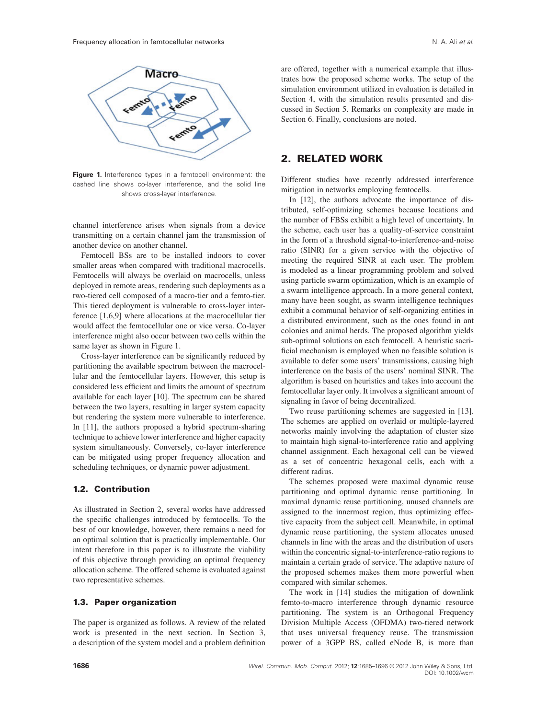

Figure 1. Interference types in a femtocell environment: the dashed line shows co-layer interference, and the solid line shows cross-layer interference.

channel interference arises when signals from a device transmitting on a certain channel jam the transmission of another device on another channel.

Femtocell BSs are to be installed indoors to cover smaller areas when compared with traditional macrocells. Femtocells will always be overlaid on macrocells, unless deployed in remote areas, rendering such deployments as a two-tiered cell composed of a macro-tier and a femto-tier. This tiered deployment is vulnerable to cross-layer interference [1,6,9] where allocations at the macrocellular tier would affect the femtocellular one or vice versa. Co-layer interference might also occur between two cells within the same layer as shown in Figure 1.

Cross-layer interference can be significantly reduced by partitioning the available spectrum between the macrocellular and the femtocellular layers. However, this setup is considered less efficient and limits the amount of spectrum available for each layer [10]. The spectrum can be shared between the two layers, resulting in larger system capacity but rendering the system more vulnerable to interference. In [11], the authors proposed a hybrid spectrum-sharing technique to achieve lower interference and higher capacity system simultaneously. Conversely, co-layer interference can be mitigated using proper frequency allocation and scheduling techniques, or dynamic power adjustment.

### **1.2. Contribution**

As illustrated in Section 2, several works have addressed the specific challenges introduced by femtocells. To the best of our knowledge, however, there remains a need for an optimal solution that is practically implementable. Our intent therefore in this paper is to illustrate the viability of this objective through providing an optimal frequency allocation scheme. The offered scheme is evaluated against two representative schemes.

### **1.3. Paper organization**

The paper is organized as follows. A review of the related work is presented in the next section. In Section 3, a description of the system model and a problem definition are offered, together with a numerical example that illustrates how the proposed scheme works. The setup of the simulation environment utilized in evaluation is detailed in Section 4, with the simulation results presented and discussed in Section 5. Remarks on complexity are made in Section 6. Finally, conclusions are noted.

# **2. RELATED WORK**

Different studies have recently addressed interference mitigation in networks employing femtocells.

In [12], the authors advocate the importance of distributed, self-optimizing schemes because locations and the number of FBSs exhibit a high level of uncertainty. In the scheme, each user has a quality-of-service constraint in the form of a threshold signal-to-interference-and-noise ratio (SINR) for a given service with the objective of meeting the required SINR at each user. The problem is modeled as a linear programming problem and solved using particle swarm optimization, which is an example of a swarm intelligence approach. In a more general context, many have been sought, as swarm intelligence techniques exhibit a communal behavior of self-organizing entities in a distributed environment, such as the ones found in ant colonies and animal herds. The proposed algorithm yields sub-optimal solutions on each femtocell. A heuristic sacrificial mechanism is employed when no feasible solution is available to defer some users' transmissions, causing high interference on the basis of the users' nominal SINR. The algorithm is based on heuristics and takes into account the femtocellular layer only. It involves a significant amount of signaling in favor of being decentralized.

Two reuse partitioning schemes are suggested in [13]. The schemes are applied on overlaid or multiple-layered networks mainly involving the adaptation of cluster size to maintain high signal-to-interference ratio and applying channel assignment. Each hexagonal cell can be viewed as a set of concentric hexagonal cells, each with a different radius.

The schemes proposed were maximal dynamic reuse partitioning and optimal dynamic reuse partitioning. In maximal dynamic reuse partitioning, unused channels are assigned to the innermost region, thus optimizing effective capacity from the subject cell. Meanwhile, in optimal dynamic reuse partitioning, the system allocates unused channels in line with the areas and the distribution of users within the concentric signal-to-interference-ratio regions to maintain a certain grade of service. The adaptive nature of the proposed schemes makes them more powerful when compared with similar schemes.

The work in [14] studies the mitigation of downlink femto-to-macro interference through dynamic resource partitioning. The system is an Orthogonal Frequency Division Multiple Access (OFDMA) two-tiered network that uses universal frequency reuse. The transmission power of a 3GPP BS, called eNode B, is more than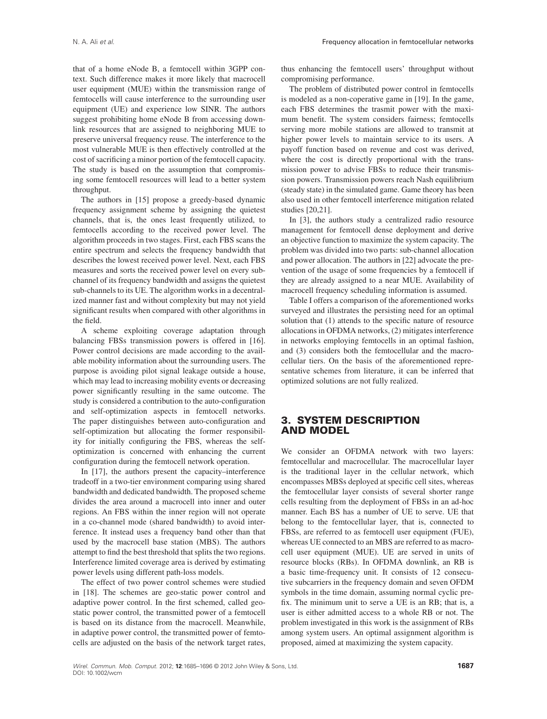that of a home eNode B, a femtocell within 3GPP context. Such difference makes it more likely that macrocell user equipment (MUE) within the transmission range of femtocells will cause interference to the surrounding user equipment (UE) and experience low SINR. The authors suggest prohibiting home eNode B from accessing downlink resources that are assigned to neighboring MUE to preserve universal frequency reuse. The interference to the most vulnerable MUE is then effectively controlled at the cost of sacrificing a minor portion of the femtocell capacity. The study is based on the assumption that compromising some femtocell resources will lead to a better system throughput.

The authors in [15] propose a greedy-based dynamic frequency assignment scheme by assigning the quietest channels, that is, the ones least frequently utilized, to femtocells according to the received power level. The algorithm proceeds in two stages. First, each FBS scans the entire spectrum and selects the frequency bandwidth that describes the lowest received power level. Next, each FBS measures and sorts the received power level on every subchannel of its frequency bandwidth and assigns the quietest sub-channels to its UE. The algorithm works in a decentralized manner fast and without complexity but may not yield significant results when compared with other algorithms in the field.

A scheme exploiting coverage adaptation through balancing FBSs transmission powers is offered in [16]. Power control decisions are made according to the available mobility information about the surrounding users. The purpose is avoiding pilot signal leakage outside a house, which may lead to increasing mobility events or decreasing power significantly resulting in the same outcome. The study is considered a contribution to the auto-configuration and self-optimization aspects in femtocell networks. The paper distinguishes between auto-configuration and self-optimization but allocating the former responsibility for initially configuring the FBS, whereas the selfoptimization is concerned with enhancing the current configuration during the femtocell network operation.

In [17], the authors present the capacity–interference tradeoff in a two-tier environment comparing using shared bandwidth and dedicated bandwidth. The proposed scheme divides the area around a macrocell into inner and outer regions. An FBS within the inner region will not operate in a co-channel mode (shared bandwidth) to avoid interference. It instead uses a frequency band other than that used by the macrocell base station (MBS). The authors attempt to find the best threshold that splits the two regions. Interference limited coverage area is derived by estimating power levels using different path-loss models.

The effect of two power control schemes were studied in [18]. The schemes are geo-static power control and adaptive power control. In the first schemed, called geostatic power control, the transmitted power of a femtocell is based on its distance from the macrocell. Meanwhile, in adaptive power control, the transmitted power of femtocells are adjusted on the basis of the network target rates, thus enhancing the femtocell users' throughput without compromising performance.

The problem of distributed power control in femtocells is modeled as a non-coperative game in [19]. In the game, each FBS determines the trasmit power with the maximum benefit. The system considers fairness; femtocells serving more mobile stations are allowed to transmit at higher power levels to maintain service to its users. A payoff function based on revenue and cost was derived, where the cost is directly proportional with the transmission power to advise FBSs to reduce their transmission powers. Transmission powers reach Nash equilibrium (steady state) in the simulated game. Game theory has been also used in other femtocell interference mitigation related studies [20,21].

In [3], the authors study a centralized radio resource management for femtocell dense deployment and derive an objective function to maximize the system capacity. The problem was divided into two parts: sub-channel allocation and power allocation. The authors in [22] advocate the prevention of the usage of some frequencies by a femtocell if they are already assigned to a near MUE. Availability of macrocell frequency scheduling information is assumed.

Table I offers a comparison of the aforementioned works surveyed and illustrates the persisting need for an optimal solution that (1) attends to the specific nature of resource allocations in OFDMA networks, (2) mitigates interference in networks employing femtocells in an optimal fashion, and (3) considers both the femtocellular and the macrocellular tiers. On the basis of the aforementioned representative schemes from literature, it can be inferred that optimized solutions are not fully realized.

# **3. SYSTEM DESCRIPTION AND MODEL**

We consider an OFDMA network with two layers: femtocellular and macrocellular. The macrocellular layer is the traditional layer in the cellular network, which encompasses MBSs deployed at specific cell sites, whereas the femtocellular layer consists of several shorter range cells resulting from the deployment of FBSs in an ad-hoc manner. Each BS has a number of UE to serve. UE that belong to the femtocellular layer, that is, connected to FBSs, are referred to as femtocell user equipment (FUE), whereas UE connected to an MBS are referred to as macrocell user equipment (MUE). UE are served in units of resource blocks (RBs). In OFDMA downlink, an RB is a basic time-frequency unit. It consists of 12 consecutive subcarriers in the frequency domain and seven OFDM symbols in the time domain, assuming normal cyclic prefix. The minimum unit to serve a UE is an RB; that is, a user is either admitted access to a whole RB or not. The problem investigated in this work is the assignment of RBs among system users. An optimal assignment algorithm is proposed, aimed at maximizing the system capacity.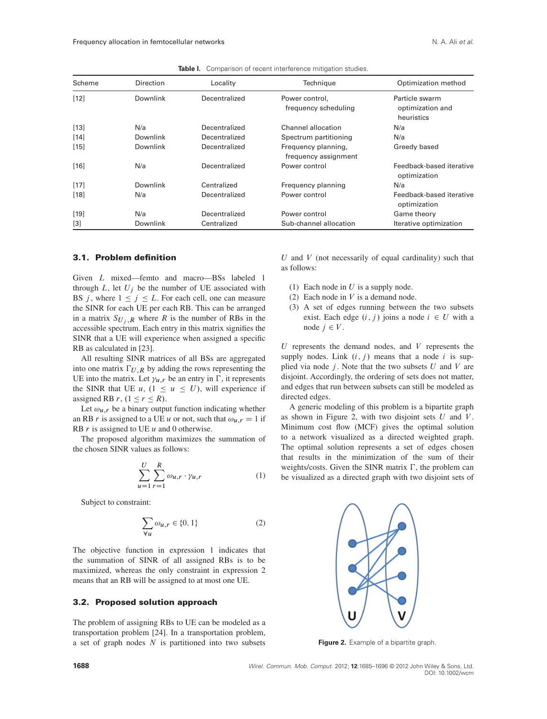| Scheme | Direction | Locality      | Technique                                   | Optimization method                              |
|--------|-----------|---------------|---------------------------------------------|--------------------------------------------------|
| $[12]$ | Downlink  | Decentralized | Power control,<br>frequency scheduling      | Particle swarm<br>optimization and<br>heuristics |
| $[13]$ | N/a       | Decentralized | Channel allocation                          | N/a                                              |
| $[14]$ | Downlink  | Decentralized | Spectrum partitioning                       | N/a                                              |
| $[15]$ | Downlink  | Decentralized | Frequency planning,<br>frequency assignment | Greedy based                                     |
| $[16]$ | N/a       | Decentralized | Power control                               | Feedback-based iterative<br>optimization         |
| $[17]$ | Downlink  | Centralized   | Frequency planning                          | N/a                                              |
| $[18]$ | N/a       | Decentralized | Power control                               | Feedback-based iterative<br>optimization         |
| $[19]$ | N/a       | Decentralized | Power control                               | Game theory                                      |
| $[3]$  | Downlink  | Centralized   | Sub-channel allocation                      | Iterative optimization                           |

**Table I.** Comparison of recent interference mitigation studies.

### **3.1. Problem definition**

Given L mixed—femto and macro—BSs labeled 1 through  $L$ , let  $U_j$  be the number of UE associated with BS *j*, where  $1 \le j \le L$ . For each cell, one can measure the SINR for each UE per each RB. This can be arranged in a matrix  $S_{U_i, R}$  where R is the number of RBs in the accessible spectrum. Each entry in this matrix signifies the SINR that a UE will experience when assigned a specific RB as calculated in [23].

All resulting SINR matrices of all BSs are aggregated into one matrix  $\Gamma_{U,R}$  by adding the rows representing the UE into the matrix. Let  $\gamma_{u,r}$  be an entry in  $\Gamma$ , it represents the SINR that UE  $u$ ,  $(1 \le u \le U)$ , will experience if assigned RB  $r$ ,  $(1 \le r \le R)$ .

Let  $\omega_{u,r}$  be a binary output function indicating whether an RB r is assigned to a UE u or not, such that  $\omega_{u,r} = 1$  if RB  $r$  is assigned to UE  $u$  and 0 otherwise.

The proposed algorithm maximizes the summation of the chosen SINR values as follows:

$$
\sum_{u=1}^{U} \sum_{r=1}^{R} \omega_{u,r} \cdot \gamma_{u,r}
$$
 (1)

Subject to constraint:

$$
\sum_{\forall u} \omega_{u,r} \in \{0, 1\} \tag{2}
$$

The objective function in expression 1 indicates that the summation of SINR of all assigned RBs is to be maximized, whereas the only constraint in expression 2 means that an RB will be assigned to at most one UE.

### **3.2. Proposed solution approach**

The problem of assigning RBs to UE can be modeled as a transportation problem [24]. In a transportation problem, a set of graph nodes  $N$  is partitioned into two subsets

 $U$  and  $V$  (not necessarily of equal cardinality) such that as follows:

- (1) Each node in  $U$  is a supply node.
- (2) Each node in  $V$  is a demand node.
- (3) A set of edges running between the two subsets exist. Each edge  $(i, j)$  joins a node  $i \in U$  with a node  $j \in V$ .

 $U$  represents the demand nodes, and  $V$  represents the supply nodes. Link  $(i, j)$  means that a node i is supplied via node  $j$ . Note that the two subsets  $U$  and  $V$  are disjoint. Accordingly, the ordering of sets does not matter, and edges that run between subsets can still be modeled as directed edges.

A generic modeling of this problem is a bipartite graph as shown in Figure 2, with two disjoint sets  $U$  and  $V$ . Minimum cost flow (MCF) gives the optimal solution to a network visualized as a directed weighted graph. The optimal solution represents a set of edges chosen that results in the minimization of the sum of their weights/costs. Given the SINR matrix  $\Gamma$ , the problem can be visualized as a directed graph with two disjoint sets of



**Figure 2.** Example of a bipartite graph.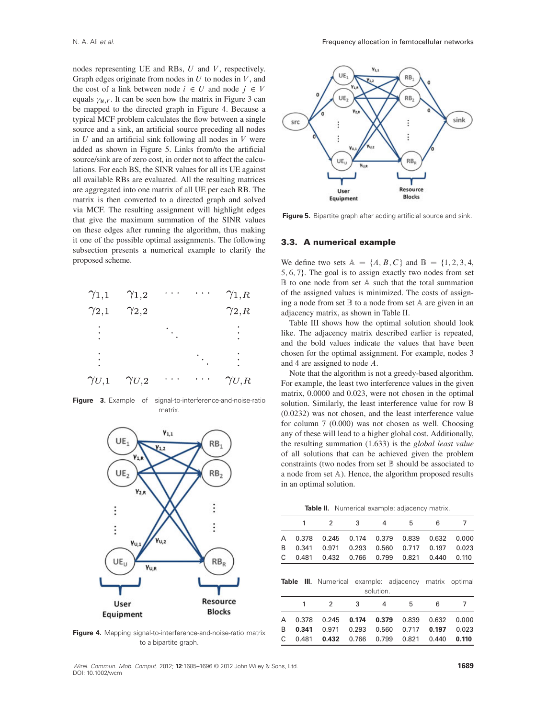nodes representing UE and RBs,  $U$  and  $V$ , respectively. Graph edges originate from nodes in  $U$  to nodes in  $V$ , and the cost of a link between node  $i \in U$  and node  $j \in V$ equals  $\gamma_{u,r}$ . It can be seen how the matrix in Figure 3 can be mapped to the directed graph in Figure 4. Because a typical MCF problem calculates the flow between a single source and a sink, an artificial source preceding all nodes in  $U$  and an artificial sink following all nodes in  $V$  were added as shown in Figure 5. Links from/to the artificial source/sink are of zero cost, in order not to affect the calculations. For each BS, the SINR values for all its UE against all available RBs are evaluated. All the resulting matrices are aggregated into one matrix of all UE per each RB. The matrix is then converted to a directed graph and solved via MCF. The resulting assignment will highlight edges that give the maximum summation of the SINR values on these edges after running the algorithm, thus making it one of the possible optimal assignments. The following subsection presents a numerical example to clarify the proposed scheme.



**Figure 3.** Example of signal-to-interference-and-noise-ratio matrix.



**Figure 4.** Mapping signal-to-interference-and-noise-ratio matrix to a bipartite graph.



**Figure 5.** Bipartite graph after adding artificial source and sink.

#### **3.3. A numerical example**

We define two sets  $A = \{A, B, C\}$  and  $B = \{1, 2, 3, 4, \ldots\}$  $5, 6, 7$ . The goal is to assign exactly two nodes from set  $\mathbb B$  to one node from set A such that the total summation of the assigned values is minimized. The costs of assigning a node from set B to a node from set A are given in an adjacency matrix, as shown in Table II.

Table III shows how the optimal solution should look like. The adjacency matrix described earlier is repeated, and the bold values indicate the values that have been chosen for the optimal assignment. For example, nodes 3 and 4 are assigned to node A.

Note that the algorithm is not a greedy-based algorithm. For example, the least two interference values in the given matrix, 0.0000 and 0.023, were not chosen in the optimal solution. Similarly, the least interference value for row B (0.0232) was not chosen, and the least interference value for column 7 (0.000) was not chosen as well. Choosing any of these will lead to a higher global cost. Additionally, the resulting summation (1.633) is the *global least value* of all solutions that can be achieved given the problem constraints (two nodes from set  $\mathbb B$  should be associated to a node from set A). Hence, the algorithm proposed results in an optimal solution.

|  | <b>Table II.</b> Numerical example: adjacency matrix. |  |  |  |
|--|-------------------------------------------------------|--|--|--|
|--|-------------------------------------------------------|--|--|--|

|              | 1     | $\overline{2}$ | 3        | 4         | 5         | 6      | 7       |
|--------------|-------|----------------|----------|-----------|-----------|--------|---------|
| A            | 0.378 | 0.245          | 0.174    | 0.379     | 0.839     | 0.632  | 0.000   |
| B            | 0.341 | 0.971          | 0.293    | 0.560     | 0.717     | 0.197  | 0.023   |
| C            | 0.481 | 0.432          | 0.766    | 0.799     | 0.821     | 0.440  | 0.110   |
| <b>Table</b> | Ш.    | Numerical      | example: | solution. | adjacency | matrix | optimal |
|              | 1     | 2              | 3        | 4         | 5         | 6      | 7       |
| A            | 0.378 | 0.245          | 0.174    | 0.379     | 0.839     | 0.632  | 0.000   |
| B            | 0.341 | 0.971          | 0.293    | 0.560     | 0.717     | 0.197  | 0.023   |
| C            | 0.481 | 0.432          | 0.766    | 0.799     | 0.821     | 0.440  | 0.110   |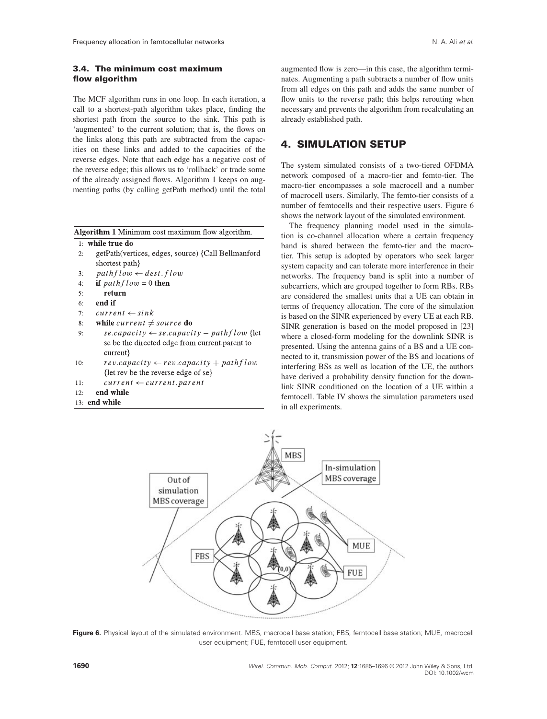# **3.4. The minimum cost maximum flow algorithm**

The MCF algorithm runs in one loop. In each iteration, a call to a shortest-path algorithm takes place, finding the shortest path from the source to the sink. This path is 'augmented' to the current solution; that is, the flows on the links along this path are subtracted from the capacities on these links and added to the capacities of the reverse edges. Note that each edge has a negative cost of the reverse edge; this allows us to 'rollback' or trade some of the already assigned flows. Algorithm 1 keeps on augmenting paths (by calling getPath method) until the total

Algorithm 1 Minimum cost maximum flow algorithm.

#### 1: while true do

- getPath(vertices, edges, source) {Call Bellmanford  $2:$ shortest path}
- $pathflow \leftarrow dest, flow$  $\overline{3}$
- if  $pathflow = 0$  then  $\overline{4}$
- return  $\varsigma$ .
- end if  $6.$
- $current \leftarrow sink$  $7.$
- $8:$ while current  $\neq$  source do
- $9:$  $se.capacity \leftarrow se.capacity - pathflow$  {let se be the directed edge from current.parent to current?
- $10<sup>1</sup>$  $rev.capacity \leftarrow rev.capacity + pathflow$ {let rev be the reverse edge of se}
- $current \leftarrow current.parent$  $11<sup>1</sup>$
- $12:$ end while
- 13: end while

augmented flow is zero—in this case, the algorithm terminates. Augmenting a path subtracts a number of flow units from all edges on this path and adds the same number of flow units to the reverse path; this helps rerouting when necessary and prevents the algorithm from recalculating an already established path.

# **4. SIMULATION SETUP**

The system simulated consists of a two-tiered OFDMA network composed of a macro-tier and femto-tier. The macro-tier encompasses a sole macrocell and a number of macrocell users. Similarly, The femto-tier consists of a number of femtocells and their respective users. Figure 6 shows the network layout of the simulated environment.

The frequency planning model used in the simulation is co-channel allocation where a certain frequency band is shared between the femto-tier and the macrotier. This setup is adopted by operators who seek larger system capacity and can tolerate more interference in their networks. The frequency band is split into a number of subcarriers, which are grouped together to form RBs. RBs are considered the smallest units that a UE can obtain in terms of frequency allocation. The core of the simulation is based on the SINR experienced by every UE at each RB. SINR generation is based on the model proposed in [23] where a closed-form modeling for the downlink SINR is presented. Using the antenna gains of a BS and a UE connected to it, transmission power of the BS and locations of interfering BSs as well as location of the UE, the authors have derived a probability density function for the downlink SINR conditioned on the location of a UE within a femtocell. Table IV shows the simulation parameters used in all experiments.



**Figure 6.** Physical layout of the simulated environment. MBS, macrocell base station; FBS, femtocell base station; MUE, macrocell user equipment; FUE, femtocell user equipment.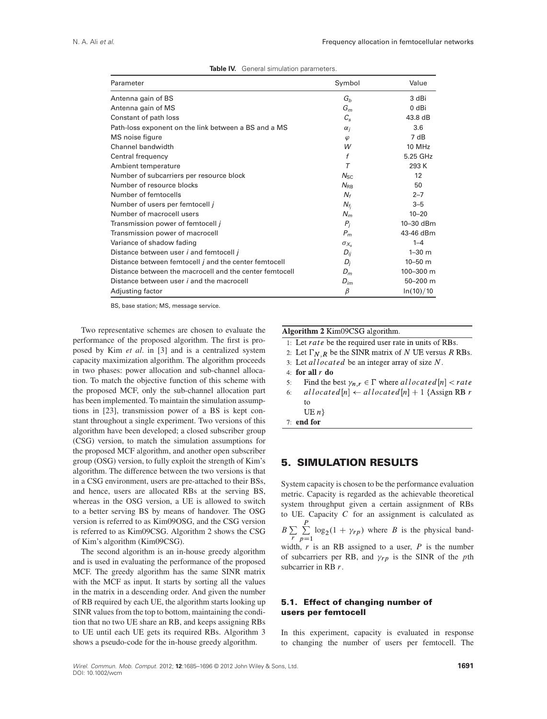| Parameter                                                    | Symbol               | Value       |
|--------------------------------------------------------------|----------------------|-------------|
| Antenna gain of BS                                           | $G_b$                | 3 dBi       |
| Antenna gain of MS                                           | $G_m$                | 0 dBi       |
| Constant of path loss                                        | $C_{\rm s}$          | 43.8 dB     |
| Path-loss exponent on the link between a BS and a MS         | $\alpha_i$           | 3.6         |
| MS noise figure                                              | $\varphi$            | 7 dB        |
| Channel bandwidth                                            | W                    | 10 MHz      |
| Central frequency                                            | f                    | 5.25 GHz    |
| Ambient temperature                                          | Τ                    | 293 K       |
| Number of subcarriers per resource block                     | $N_{\rm SC}$         | 12          |
| Number of resource blocks                                    | $N_{\rm RB}$         | 50          |
| Number of femtocells                                         | $N_f$                | $2 - 7$     |
| Number of users per femtocell j                              | $N_{f_i}$            | $3 - 5$     |
| Number of macrocell users                                    | $N_m$                | $10 - 20$   |
| Transmission power of femtocell j                            | $P_i$                | 10-30 dBm   |
| Transmission power of macrocell                              | $P_m$                | 43-46 dBm   |
| Variance of shadow fading                                    | $\sigma_{X_{\rm e}}$ | $1 - 4$     |
| Distance between user <i>i</i> and femtocell <i>j</i>        | $D_{ii}$             | $1 - 30$ m  |
| Distance between femtocell <i>j</i> and the center femtocell | $D_i$                | $10 - 50$ m |
| Distance between the macrocell and the center femtocell      | $D_m$                | 100-300 m   |
| Distance between user <i>i</i> and the macrocell             | $D_{im}$             | 50-200 m    |
| Adjusting factor                                             | $\beta$              | ln(10)/10   |

BS, base station; MS, message service.

Two representative schemes are chosen to evaluate the performance of the proposed algorithm. The first is proposed by Kim *et al*. in [3] and is a centralized system capacity maximization algorithm. The algorithm proceeds in two phases: power allocation and sub-channel allocation. To match the objective function of this scheme with the proposed MCF, only the sub-channel allocation part has been implemented. To maintain the simulation assumptions in [23], transmission power of a BS is kept constant throughout a single experiment. Two versions of this algorithm have been developed; a closed subscriber group (CSG) version, to match the simulation assumptions for the proposed MCF algorithm, and another open subscriber group (OSG) version, to fully exploit the strength of Kim's algorithm. The difference between the two versions is that in a CSG environment, users are pre-attached to their BSs, and hence, users are allocated RBs at the serving BS, whereas in the OSG version, a UE is allowed to switch to a better serving BS by means of handover. The OSG version is referred to as Kim09OSG, and the CSG version is referred to as Kim09CSG. Algorithm 2 shows the CSG of Kim's algorithm (Kim09CSG).

The second algorithm is an in-house greedy algorithm and is used in evaluating the performance of the proposed MCF. The greedy algorithm has the same SINR matrix with the MCF as input. It starts by sorting all the values in the matrix in a descending order. And given the number of RB required by each UE, the algorithm starts looking up SINR values from the top to bottom, maintaining the condition that no two UE share an RB, and keeps assigning RBs to UE until each UE gets its required RBs. Algorithm 3 shows a pseudo-code for the in-house greedy algorithm.

## Algorithm 2 Kim09CSG algorithm.

- 1: Let rate be the required user rate in units of RBs.
- 2: Let  $\Gamma_{N,R}$  be the SINR matrix of N UE versus R RBs.
- 3: Let *allocated* be an integer array of size  $N$ .
- 4: for all  $r$  do
- Find the best  $\gamma_{n,r} \in \Gamma$  where all ocated  $[n] <$  rate  $5:$
- allocated  $[n] \leftarrow$  allocated  $[n] + 1$  {Assign RB r  $6:$ to
	- UE  $n$
- $7:$  end for

## **5. SIMULATION RESULTS**

System capacity is chosen to be the performance evaluation metric. Capacity is regarded as the achievable theoretical system throughput given a certain assignment of RBs to UE. Capacity  $C$  for an assignment is calculated as  $\frac{P}{\sqrt{2}}$ 

 $B\sum_{r}$  $\sum_{p=1}$  log<sub>2</sub>(1 +  $\gamma_{rp}$ ) where *B* is the physical band-

width,  $r$  is an RB assigned to a user,  $P$  is the number of subcarriers per RB, and  $\gamma_{rp}$  is the SINR of the pth subcarrier in RB  $r$ .

### **5.1. Effect of changing number of users per femtocell**

In this experiment, capacity is evaluated in response to changing the number of users per femtocell. The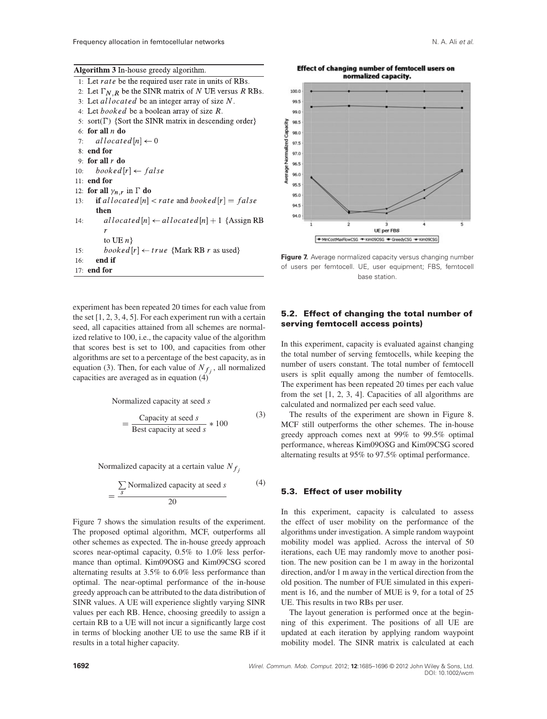### **Algorithm 3** In-house greedy algorithm

| $\ldots$                                                         |
|------------------------------------------------------------------|
| 1. Let <i>rate</i> be the required user rate in units of RBs.    |
| 2. Let $\Gamma_{N,R}$ be the SINR matrix of N UE versus R RBs.   |
| 3. Let <i>allocated</i> be an integer array of size N.           |
| 4: Let <i>booked</i> be a boolean array of size R.               |
| 5: sort( $\Gamma$ ) {Sort the SINR matrix in descending order}   |
| 6: for all $n$ do                                                |
| 7: allocated $[n] \leftarrow 0$                                  |
| 8: end for                                                       |
| 9 for all $r$ do                                                 |
| $booked[r] \leftarrow false$<br>10:                              |
| $11:$ end for                                                    |
| 12: for all $\gamma_{n,r}$ in $\Gamma$ do                        |
| <b>if</b> allocated $[n] <$ rate and booked $[r] = false$<br>13: |
| then                                                             |
| allocated $[n] \leftarrow$ allocated $[n] + 1$ {Assign RB<br>14: |
| r                                                                |
| to UE $n$ }                                                      |
| <i>booked</i> $[r] \leftarrow true$ {Mark RB r as used}<br>15:   |
| end if<br>16:                                                    |
| $17:$ end for                                                    |
|                                                                  |

experiment has been repeated 20 times for each value from the set [1, 2, 3, 4, 5]. For each experiment run with a certain seed, all capacities attained from all schemes are normalized relative to 100, i.e., the capacity value of the algorithm that scores best is set to 100, and capacities from other algorithms are set to a percentage of the best capacity, as in equation (3). Then, for each value of  $N_{f_i}$ , all normalized capacities are averaged as in equation  $(4)$ 

Normalized capacity at seed s

$$
= \frac{\text{Capacity at seed } s}{\text{Best capacity at seed } s} * 100
$$
 (3)

Normalized capacity at a certain value  $N_f$ .

$$
= \frac{\sum_{s} \text{Normalized capacity at seed } s}{20} \tag{4}
$$

Figure 7 shows the simulation results of the experiment. The proposed optimal algorithm, MCF, outperforms all other schemes as expected. The in-house greedy approach scores near-optimal capacity, 0.5% to 1.0% less performance than optimal. Kim09OSG and Kim09CSG scored alternating results at 3.5% to 6.0% less performance than optimal. The near-optimal performance of the in-house greedy approach can be attributed to the data distribution of SINR values. A UE will experience slightly varying SINR values per each RB. Hence, choosing greedily to assign a certain RB to a UE will not incur a significantly large cost in terms of blocking another UE to use the same RB if it results in a total higher capacity.

**Effect of changing number of femtocell users on** normalized capacity.



**Figure 7.** Average normalized capacity versus changing number of users per femtocell. UE, user equipment; FBS, femtocell base station.

### **5.2. Effect of changing the total number of serving femtocell access points)**

In this experiment, capacity is evaluated against changing the total number of serving femtocells, while keeping the number of users constant. The total number of femtocell users is split equally among the number of femtocells. The experiment has been repeated 20 times per each value from the set [1, 2, 3, 4]. Capacities of all algorithms are calculated and normalized per each seed value.

The results of the experiment are shown in Figure 8. MCF still outperforms the other schemes. The in-house greedy approach comes next at 99% to 99.5% optimal performance, whereas Kim09OSG and Kim09CSG scored alternating results at 95% to 97.5% optimal performance.

#### **5.3. Effect of user mobility**

In this experiment, capacity is calculated to assess the effect of user mobility on the performance of the algorithms under investigation. A simple random waypoint mobility model was applied. Across the interval of 50 iterations, each UE may randomly move to another position. The new position can be 1 m away in the horizontal direction, and/or 1 m away in the vertical direction from the old position. The number of FUE simulated in this experiment is 16, and the number of MUE is 9, for a total of 25 UE. This results in two RBs per user.

The layout generation is performed once at the beginning of this experiment. The positions of all UE are updated at each iteration by applying random waypoint mobility model. The SINR matrix is calculated at each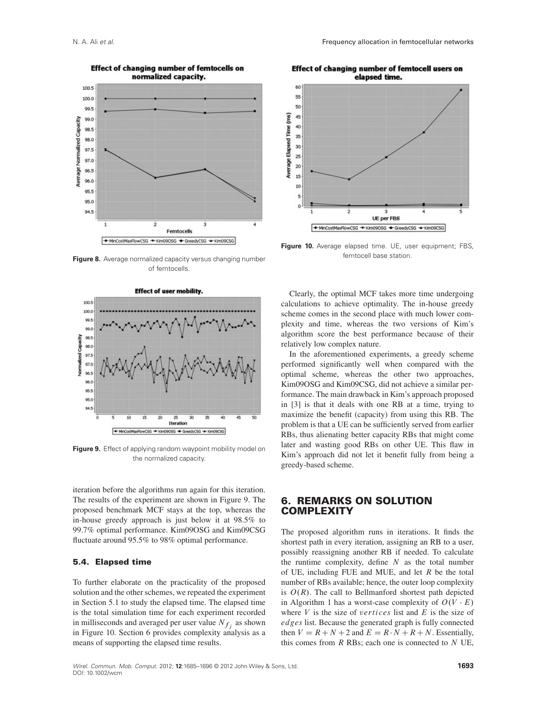

**Effect of changing number of femtocells on** 

**Figure 8.** Average normalized capacity versus changing number of femtocells.



**Figure 9.** Effect of applying random waypoint mobility model on the normalized capacity.

iteration before the algorithms run again for this iteration. The results of the experiment are shown in Figure 9. The proposed benchmark MCF stays at the top, whereas the in-house greedy approach is just below it at 98.5% to 99.7% optimal performance. Kim09OSG and Kim09CSG fluctuate around 95.5% to 98% optimal performance.

### **5.4. Elapsed time**

To further elaborate on the practicality of the proposed solution and the other schemes, we repeated the experiment in Section 5.1 to study the elapsed time. The elapsed time is the total simulation time for each experiment recorded in milliseconds and averaged per user value  $N_f$ , as shown in Figure 10. Section 6 provides complexity analysis as a means of supporting the elapsed time results.

**Effect of changing number of femtocell users on** elapsed time.



**Figure 10.** Average elapsed time. UE, user equipment; FBS, femtocell base station.

Clearly, the optimal MCF takes more time undergoing calculations to achieve optimality. The in-house greedy scheme comes in the second place with much lower complexity and time, whereas the two versions of Kim's algorithm score the best performance because of their relatively low complex nature.

In the aforementioned experiments, a greedy scheme performed significantly well when compared with the optimal scheme, whereas the other two approaches, Kim09OSG and Kim09CSG, did not achieve a similar performance. The main drawback in Kim's approach proposed in [3] is that it deals with one RB at a time, trying to maximize the benefit (capacity) from using this RB. The problem is that a UE can be sufficiently served from earlier RBs, thus alienating better capacity RBs that might come later and wasting good RBs on other UE. This flaw in Kim's approach did not let it benefit fully from being a greedy-based scheme.

# **6. REMARKS ON SOLUTION COMPLEXITY**

The proposed algorithm runs in iterations. It finds the shortest path in every iteration, assigning an RB to a user, possibly reassigning another RB if needed. To calculate the runtime complexity, define  $N$  as the total number of UE, including FUE and MUE, and let  $R$  be the total number of RBs available; hence, the outer loop complexity is  $O(R)$ . The call to Bellmanford shortest path depicted in Algorithm 1 has a worst-case complexity of  $O(V \cdot E)$ where  $V$  is the size of *vertices* list and  $E$  is the size of edges list. Because the generated graph is fully connected then  $V = R + N + 2$  and  $E = R \cdot N + R + N$ . Essentially, this comes from  $R$  RBs; each one is connected to  $N$  UE.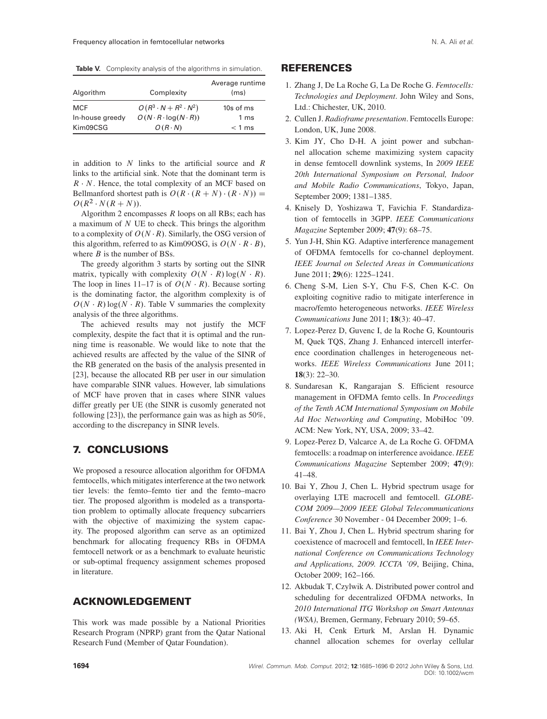**Table V.** Complexity analysis of the algorithms in simulation.

| Algorithm       | Complexity                           | Average runtime<br>(ms) |
|-----------------|--------------------------------------|-------------------------|
| <b>MCF</b>      | $O(R^3\cdot N + R^2\cdot N^2)$       | 10s of ms               |
| In-house greedy | $O(N \cdot R \cdot \log(N \cdot R))$ | 1 <sub>ms</sub>         |
| Kim09CSG        | $O(R \cdot N)$                       | $< 1$ ms                |

in addition to  $N$  links to the artificial source and  $R$ links to the artificial sink. Note that the dominant term is  $R \cdot N$ . Hence, the total complexity of an MCF based on Bellmanford shortest path is  $O(R \cdot (R + N) \cdot (R \cdot N))$  =  $O(R^2 \cdot N(R + N)).$ 

Algorithm 2 encompasses  $R$  loops on all RBs; each has a maximum of  $N$  UE to check. This brings the algorithm to a complexity of  $O(N \cdot R)$ . Similarly, the OSG version of this algorithm, referred to as Kim09OSG, is  $O(N \cdot R \cdot B)$ , where  $B$  is the number of BSs.

The greedy algorithm 3 starts by sorting out the SINR matrix, typically with complexity  $O(N \cdot R) \log(N \cdot R)$ . The loop in lines 11–17 is of  $O(N \cdot R)$ . Because sorting is the dominating factor, the algorithm complexity is of  $O(N \cdot R) \log(N \cdot R)$ . Table V summaries the complexity analysis of the three algorithms.

The achieved results may not justify the MCF complexity, despite the fact that it is optimal and the running time is reasonable. We would like to note that the achieved results are affected by the value of the SINR of the RB generated on the basis of the analysis presented in [23], because the allocated RB per user in our simulation have comparable SINR values. However, lab simulations of MCF have proven that in cases where SINR values differ greatly per UE (the SINR is cusomly generated not following [23]), the performance gain was as high as 50%, according to the discrepancy in SINR levels.

# **7. CONCLUSIONS**

We proposed a resource allocation algorithm for OFDMA femtocells, which mitigates interference at the two network tier levels: the femto–femto tier and the femto–macro tier. The proposed algorithm is modeled as a transportation problem to optimally allocate frequency subcarriers with the objective of maximizing the system capacity. The proposed algorithm can serve as an optimized benchmark for allocating frequency RBs in OFDMA femtocell network or as a benchmark to evaluate heuristic or sub-optimal frequency assignment schemes proposed in literature.

# **ACKNOWLEDGEMENT**

This work was made possible by a National Priorities Research Program (NPRP) grant from the Qatar National Research Fund (Member of Qatar Foundation).

### **REFERENCES**

- 1. Zhang J, De La Roche G, La De Roche G. *Femtocells: Technologies and Deployment*. John Wiley and Sons, Ltd.: Chichester, UK, 2010.
- 2. Cullen J. *Radioframe presentation*. Femtocells Europe: London, UK, June 2008.
- 3. Kim JY, Cho D-H. A joint power and subchannel allocation scheme maximizing system capacity in dense femtocell downlink systems, In *2009 IEEE 20th International Symposium on Personal, Indoor and Mobile Radio Communications*, Tokyo, Japan, September 2009; 1381–1385.
- 4. Knisely D, Yoshizawa T, Favichia F. Standardization of femtocells in 3GPP. *IEEE Communications Magazine* September 2009; **47**(9): 68–75.
- 5. Yun J-H, Shin KG. Adaptive interference management of OFDMA femtocells for co-channel deployment. *IEEE Journal on Selected Areas in Communications* June 2011; **29**(6): 1225–1241.
- 6. Cheng S-M, Lien S-Y, Chu F-S, Chen K-C. On exploiting cognitive radio to mitigate interference in macro/femto heterogeneous networks. *IEEE Wireless Communications* June 2011; **18**(3): 40–47.
- 7. Lopez-Perez D, Guvenc I, de la Roche G, Kountouris M, Quek TQS, Zhang J. Enhanced intercell interference coordination challenges in heterogeneous networks. *IEEE Wireless Communications* June 2011; **18**(3): 22–30.
- 8. Sundaresan K, Rangarajan S. Efficient resource management in OFDMA femto cells. In *Proceedings of the Tenth ACM International Symposium on Mobile Ad Hoc Networking and Computing*, MobiHoc '09. ACM: New York, NY, USA, 2009; 33–42.
- 9. Lopez-Perez D, Valcarce A, de La Roche G. OFDMA femtocells: a roadmap on interference avoidance. *IEEE Communications Magazine* September 2009; **47**(9): 41–48.
- 10. Bai Y, Zhou J, Chen L. Hybrid spectrum usage for overlaying LTE macrocell and femtocell. *GLOBE-COM 2009—2009 IEEE Global Telecommunications Conference* 30 November - 04 December 2009; 1–6.
- 11. Bai Y, Zhou J, Chen L. Hybrid spectrum sharing for coexistence of macrocell and femtocell, In *IEEE International Conference on Communications Technology and Applications, 2009. ICCTA '09*, Beijing, China, October 2009; 162–166.
- 12. Akbudak T, Czylwik A. Distributed power control and scheduling for decentralized OFDMA networks, In *2010 International ITG Workshop on Smart Antennas (WSA)*, Bremen, Germany, February 2010; 59–65.
- 13. Aki H, Cenk Erturk M, Arslan H. Dynamic channel allocation schemes for overlay cellular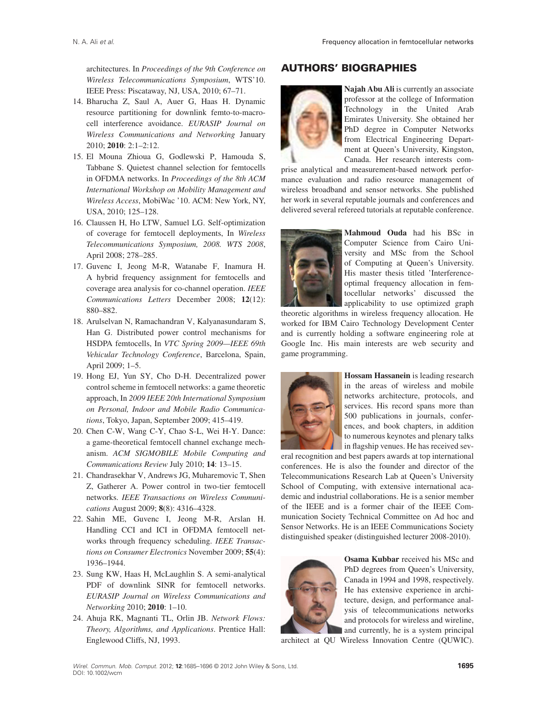architectures. In *Proceedings of the 9th Conference on Wireless Telecommunications Symposium*, WTS'10. IEEE Press: Piscataway, NJ, USA, 2010; 67–71.

- 14. Bharucha Z, Saul A, Auer G, Haas H. Dynamic resource partitioning for downlink femto-to-macrocell interference avoidance. *EURASIP Journal on Wireless Communications and Networking* January 2010; **2010**: 2:1–2:12.
- 15. El Mouna Zhioua G, Godlewski P, Hamouda S, Tabbane S. Quietest channel selection for femtocells in OFDMA networks. In *Proceedings of the 8th ACM International Workshop on Mobility Management and Wireless Access*, MobiWac '10. ACM: New York, NY, USA, 2010; 125–128.
- 16. Claussen H, Ho LTW, Samuel LG. Self-optimization of coverage for femtocell deployments, In *Wireless Telecommunications Symposium, 2008. WTS 2008*, April 2008; 278–285.
- 17. Guvenc I, Jeong M-R, Watanabe F, Inamura H. A hybrid frequency assignment for femtocells and coverage area analysis for co-channel operation. *IEEE Communications Letters* December 2008; **12**(12): 880–882.
- 18. Arulselvan N, Ramachandran V, Kalyanasundaram S, Han G. Distributed power control mechanisms for HSDPA femtocells, In *VTC Spring 2009—IEEE 69th Vehicular Technology Conference*, Barcelona, Spain, April 2009; 1–5.
- 19. Hong EJ, Yun SY, Cho D-H. Decentralized power control scheme in femtocell networks: a game theoretic approach, In *2009 IEEE 20th International Symposium on Personal, Indoor and Mobile Radio Communications*, Tokyo, Japan, September 2009; 415–419.
- 20. Chen C-W, Wang C-Y, Chao S-L, Wei H-Y. Dance: a game-theoretical femtocell channel exchange mechanism. *ACM SIGMOBILE Mobile Computing and Communications Review* July 2010; **14**: 13–15.
- 21. Chandrasekhar V, Andrews JG, Muharemovic T, Shen Z, Gatherer A. Power control in two-tier femtocell networks. *IEEE Transactions on Wireless Communications* August 2009; **8**(8): 4316–4328.
- 22. Sahin ME, Guvenc I, Jeong M-R, Arslan H. Handling CCI and ICI in OFDMA femtocell networks through frequency scheduling. *IEEE Transactions on Consumer Electronics* November 2009; **55**(4): 1936–1944.
- 23. Sung KW, Haas H, McLaughlin S. A semi-analytical PDF of downlink SINR for femtocell networks. *EURASIP Journal on Wireless Communications and Networking* 2010; **2010**: 1–10.
- 24. Ahuja RK, Magnanti TL, Orlin JB. *Network Flows: Theory, Algorithms, and Applications*. Prentice Hall: Englewood Cliffs, NJ, 1993.

# **AUTHORS' BIOGRAPHIES**



**Najah Abu Ali** is currently an associate professor at the college of Information Technology in the United Arab Emirates University. She obtained her PhD degree in Computer Networks from Electrical Engineering Department at Queen's University, Kingston, Canada. Her research interests com-

prise analytical and measurement-based network performance evaluation and radio resource management of wireless broadband and sensor networks. She published her work in several reputable journals and conferences and delivered several refereed tutorials at reputable conference.



**Mahmoud Ouda** had his BSc in Computer Science from Cairo University and MSc from the School of Computing at Queen's University. His master thesis titled 'Interferenceoptimal frequency allocation in femtocellular networks' discussed the applicability to use optimized graph

theoretic algorithms in wireless frequency allocation. He worked for IBM Cairo Technology Development Center and is currently holding a software engineering role at Google Inc. His main interests are web security and game programming.



**Hossam Hassanein** is leading research in the areas of wireless and mobile networks architecture, protocols, and services. His record spans more than 500 publications in journals, conferences, and book chapters, in addition to numerous keynotes and plenary talks in flagship venues. He has received sev-

eral recognition and best papers awards at top international conferences. He is also the founder and director of the Telecommunications Research Lab at Queen's University School of Computing, with extensive international academic and industrial collaborations. He is a senior member of the IEEE and is a former chair of the IEEE Communication Society Technical Committee on Ad hoc and Sensor Networks. He is an IEEE Communications Society distinguished speaker (distinguished lecturer 2008-2010).



**Osama Kubbar** received his MSc and PhD degrees from Queen's University, Canada in 1994 and 1998, respectively. He has extensive experience in architecture, design, and performance analysis of telecommunications networks and protocols for wireless and wireline, and currently, he is a system principal

architect at QU Wireless Innovation Centre (QUWIC).